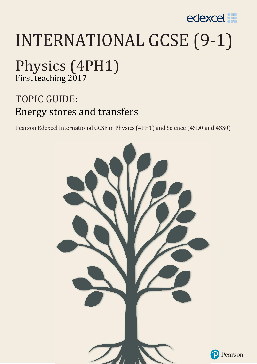

# INTERNATIONAL GCSE (9-1)

## Physics (4PH1)

First teaching 2017

### TOPIC GUIDE: Energy stores and transfers

Pearson Edexcel International GCSE in Physics (4PH1) and Science (4SD0 and 4SS0)

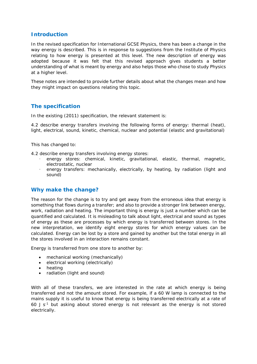#### **Introduction**

In the revised specification for International GCSE Physics, there has been a change in the way energy is described. This is in response to suggestions from the Institute of Physics relating to how energy is presented at this level. The new description of energy was adopted because it was felt that this revised approach gives students a better understanding of what is meant by energy and also helps those who chose to study Physics at a higher level.

These notes are intended to provide further details about what the changes mean and how they might impact on questions relating this topic.

#### **The specification**

In the existing (2011) specification, the relevant statement is:

*4.2 describe energy transfers involving the following forms of energy: thermal (heat), light, electrical, sound, kinetic, chemical, nuclear and potential (elastic and gravitational)* 

This has changed to:

*4.2 describe energy transfers involving energy stores:* 

- *energy stores: chemical, kinetic, gravitational, elastic, thermal, magnetic, electrostatic, nuclear*
- *energy transfers: mechanically, electrically, by heating, by radiation (light and sound)*

#### **Why make the change?**

The reason for the change is to try and get away from the erroneous idea that energy is something that flows during a transfer; and also to provide a stronger link between energy, work, radiation and heating. The important thing is energy is just a number which can be quantified and calculated. It is misleading to talk about light, electrical and sound as types of energy as these are processes by which energy is transferred between stores. In the new interpretation, we identify eight energy stores for which energy values can be calculated. Energy can be lost by a store and gained by another but the total energy in all the stores involved in an interaction remains constant.

Energy is transferred from one store to another by:

- mechanical working (mechanically)
- electrical working (electrically)
- heating
- radiation (light and sound)

With all of these transfers, we are interested in the rate at which energy is being transferred and not the amount stored. For example, if a 60 W lamp is connected to the mains supply it is useful to know that energy is being transferred electrically at a rate of 60 J  $s^{-1}$  but asking about stored energy is not relevant as the energy is not stored electrically.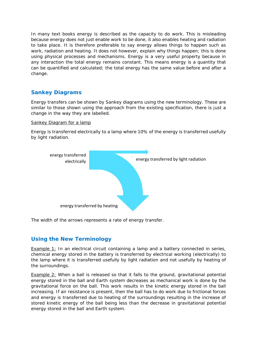In many text books energy is described as the capacity to do work. This is misleading because energy does not just enable work to be done, it also enables heating and radiation to take place. It is therefore preferable to say energy allows things to happen such as work, radiation and heating. It does not however, explain why things happen; this is done using physical processes and mechanisms. Energy is a very useful property because in any interaction the total energy remains constant. This means energy is a quantity that can be quantified and calculated; the total energy has the same value before and after a change.

#### **Sankey Diagrams**

Energy transfers can be shown by Sankey diagrams using the new terminology. These are similar to those shown using the approach from the existing specification, there is just a change in the way they are labelled.

#### Sankey Diagram for a lamp

Energy is transferred electrically to a lamp where 10% of the energy is transferred usefully by light radiation.



The width of the arrows represents a rate of energy transfer.

#### **Using the New Terminology**

Example 1: In an electrical circuit containing a lamp and a battery connected in series, chemical energy stored in the battery is transferred by electrical working (electrically) to the lamp where it is transferred usefully by light radiation and not usefully by heating of the surroundings.

Example 2: When a ball is released so that it falls to the ground, gravitational potential energy stored in the ball and Earth system decreases as mechanical work is done by the gravitational force on the ball. This work results in the kinetic energy stored in the ball increasing. If air resistance is present, then the ball has to do work due to frictional forces and energy is transferred due to heating of the surroundings resulting in the increase of stored kinetic energy of the ball being less than the decrease in gravitational potential energy stored in the ball and Earth system.